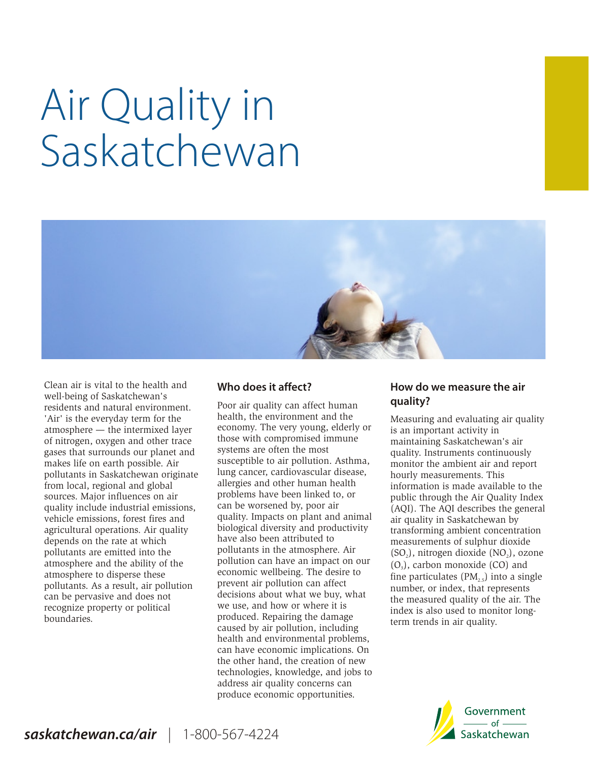# Air Quality in Saskatchewan



Clean air is vital to the health and **Who does it affect? How do we measure the air well-being of Saskatchewan's** well-being of Saskatchewan's **a**<br>
residents and natural environment. Poor air quality can affect human **respect of the same in the residents and the**<br>
'Air' is the everyday term for the **residents** health, the environment atmosphere — the intermixed layer  $\frac{1}{2}$  economy. The very young, elderly of nitrogen oxygen and other trace those with compromised immune gases that surrounds our planet and systems are often the most<br>makes life on earth possible. Air susceptible to air pollution. Asthma, pollutants in Saskatchewan originate hours cancer, cardiovascular disease, from local, regional and global allergies and other human health agricultural operations. Air quality biological diversity and prod<br>depends on the rate at which have also been attributed to atmosphere and the ability of the  $\begin{array}{c}$  pollution can have an impact on our atmosphere to disperse these  $\begin{array}{c} 1 \text{e} \\ \text{e} \end{array}$ 

health, the environment and the the assuring and evaluating air quality economy. The very young, elderly or the san important activity in of nitrogen, oxygen and other trace those with compromised immune maintaining Saskatchewan's air<br>gases that surrounds our planet and systems are often the most anality. Instruments continuously susceptible to air pollution. Asthma, essention the ambient air and report lung cancer, cardiovascular disease, hourly measurements. This from local, regional and global allergies and other human health information is made available to the sources. Major influences on air problems have been linked to, or bublic through the Air Quality Index sources. Major influences on air broblems have been linked to, or bublic through the Air Quality Index quality include industrial emissions, can be worsened by, poor air (AOI). The AOI describes the general can be worsened by, poor air (AQI). The AQI describes the general quality. Impacts on plant and animal air quality in Saskatchewan by vehicle emissions, forest fires and quality. Impacts on plant and animal air quality in Saskatchewan by agricultural operations. Air quality biological diversity and productivity transforming ambient concentration depends on the rate at which have also been attributed to measurements of sulphur dioxide<br>pollutants are emitted into the pollutants in the atmosphere. Air (SO.), nitrogen dioxide (NO.), ozo pollutants in the atmosphere. Air  $(SO_2)$ , nitrogen dioxide  $(NO_2)$ , ozone pollution can have an impact on our  $(O_2)$ , carbon monoxide (CO) and atmosphere to disperse these economic wellbeing. The desire to sphere fine particulates ( $PM_{2.5}$ ) into a single pollutants. As a result, air pollution prevent air pollution can affect pumpler or index that represents pollutants. As a result, air pollution prevent air pollution can affect and be pervasive and does not decisions about what we buy, what the measured quality of the air. The recognize property or political we use, and how o recognize property or political we use, and how or where it is index is also used to monitor long-<br>produced. Repairing the damage to the matrice in air quality produced. Repairing the damage s. term trends in air quality.<br>caused by air pollution, including health and environmental problems, can have economic implications. On the other hand, the creation of new technologies, knowledge, and jobs to address air quality concerns can produce economic opportunities.